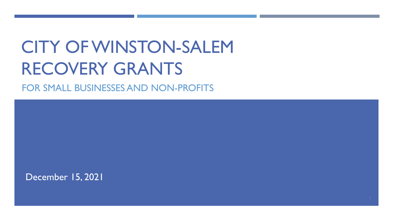## CITY OF WINSTON-SALEM RECOVERY GRANTS

FOR SMALL BUSINESSES AND NON-PROFITS

December 15, 2021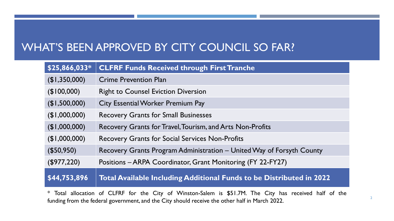#### WHAT'S BEEN APPROVED BY CITY COUNCIL SO FAR?

| \$25,866,033* | <b>CLFRF Funds Received through First Tranche</b>                     |
|---------------|-----------------------------------------------------------------------|
| (\$1,350,000) | <b>Crime Prevention Plan</b>                                          |
| (\$100,000)   | <b>Right to Counsel Eviction Diversion</b>                            |
| (\$1,500,000) | <b>City Essential Worker Premium Pay</b>                              |
| (\$1,000,000) | <b>Recovery Grants for Small Businesses</b>                           |
| (\$1,000,000) | Recovery Grants for Travel, Tourism, and Arts Non-Profits             |
| (\$1,000,000) | <b>Recovery Grants for Social Services Non-Profits</b>                |
| (\$50,950)    | Recovery Grants Program Administration – United Way of Forsyth County |
| (\$977,220)   | Positions - ARPA Coordinator, Grant Monitoring (FY 22-FY27)           |
| \$44,753,896  | Total Available Including Additional Funds to be Distributed in 2022  |

\* Total allocation of CLFRF for the City of Winston-Salem is \$51.7M. The City has received half of the funding from the federal government, and the City should receive the other half in March 2022.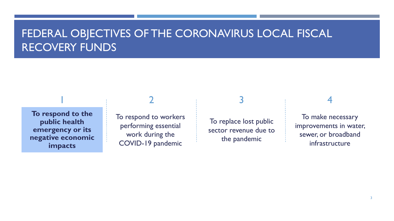#### FEDERAL OBJECTIVES OF THE CORONAVIRUS LOCAL FISCAL RECOVERY FUNDS

**To respond to the public health emergency or its negative economic impacts**

To respond to workers performing essential work during the COVID-19 pandemic

#### $1$   $2$   $3$   $4$

To replace lost public sector revenue due to the pandemic

To make necessary improvements in water, sewer, or broadband infrastructure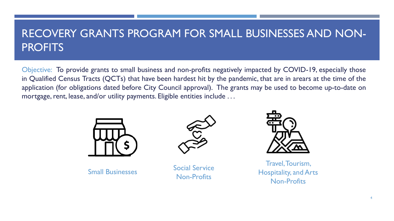#### RECOVERY GRANTS PROGRAM FOR SMALL BUSINESSES AND NON-**PROFITS**

Objective: To provide grants to small business and non-profits negatively impacted by COVID-19, especially those in Qualified Census Tracts (QCTs) that have been hardest hit by the pandemic, that are in arears at the time of the application (for obligations dated before City Council approval). The grants may be used to become up-to-date on mortgage, rent, lease, and/or utility payments. Eligible entities include ...





Small Businesses Social Service Non-Profits



Travel, Tourism, **Hospitality, and Arts**  $\mathsf{Non\text{-}Profits}$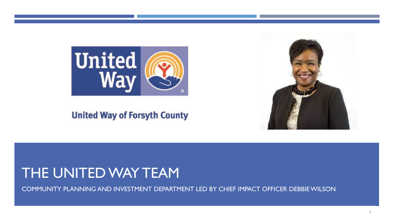

#### **United Way of Forsyth County**



### THE UNITED WAY TEAM

COMMUNITY PLANNING AND INVESTMENT DEPARTMENT LED BY CHIEF IMPACT OFFICER DEBBIE WILSON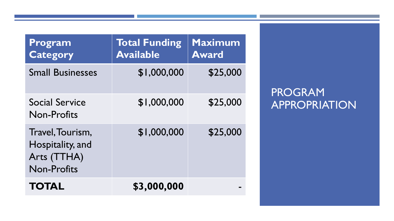| Program<br><b>Category</b>                                                | <b>Total Funding</b><br><b>Available</b> | Maximum<br><b>Award</b> |
|---------------------------------------------------------------------------|------------------------------------------|-------------------------|
| <b>Small Businesses</b>                                                   | \$1,000,000                              | \$25,000                |
| <b>Social Service</b><br><b>Non-Profits</b>                               | \$1,000,000                              | \$25,000                |
| Travel, Tourism,<br>Hospitality, and<br>Arts (TTHA)<br><b>Non-Profits</b> | \$1,000,000                              | \$25,000                |
| <b>TOTAL</b>                                                              | \$3,000,000                              |                         |

PROGRAM APPROPRIATION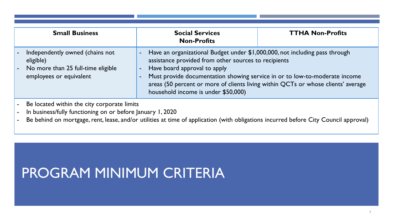| <b>Small Business</b>                                                                                                                                                                                                                                                                                                                                  | <b>Social Services</b><br><b>Non-Profits</b>                                                                                                                                                                                                                                                                                                                                                    | <b>TTHA Non-Profits</b> |
|--------------------------------------------------------------------------------------------------------------------------------------------------------------------------------------------------------------------------------------------------------------------------------------------------------------------------------------------------------|-------------------------------------------------------------------------------------------------------------------------------------------------------------------------------------------------------------------------------------------------------------------------------------------------------------------------------------------------------------------------------------------------|-------------------------|
| Independently owned (chains not<br>eligible)<br>No more than 25 full-time eligible<br>employees or equivalent                                                                                                                                                                                                                                          | Have an organizational Budget under \$1,000,000, not including pass through<br>assistance provided from other sources to recipients<br>Have board approval to apply<br>$\blacksquare$<br>Must provide documentation showing service in or to low-to-moderate income<br>areas (50 percent or more of clients living within QCTs or whose clients' average<br>household income is under \$50,000) |                         |
| Be located within the city corporate limits<br>In business/fully functioning on or before January 1, 2020<br>$\mathbf{R}$ . The state of the state $\mathbf{R}$ . The state of the state $\mathbf{R}$ is the state of the state of the state of the state of the state of the state of the state of the state of the state of the state of the state o |                                                                                                                                                                                                                                                                                                                                                                                                 |                         |

Be behind on mortgage, rent, lease, and/or utilities at time of application (with obligations incurred before City Council approval)

### PROGRAM MINIMUM CRITERIA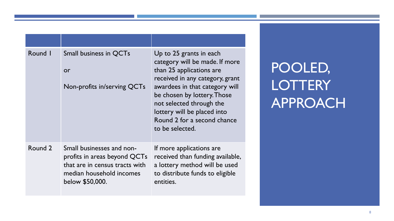| Round I | Small business in QCTs<br>or<br>Non-profits in/serving QCTs                                                                                | Up to 25 grants in each<br>category will be made. If more<br>than 25 applications are<br>received in any category, grant<br>awardees in that category will<br>be chosen by lottery. Those<br>not selected through the<br>lottery will be placed into<br>Round 2 for a second chance<br>to be selected. |
|---------|--------------------------------------------------------------------------------------------------------------------------------------------|--------------------------------------------------------------------------------------------------------------------------------------------------------------------------------------------------------------------------------------------------------------------------------------------------------|
| Round 2 | Small businesses and non-<br>profits in areas beyond QCTs<br>that are in census tracts with<br>median household incomes<br>below \$50,000. | If more applications are<br>received than funding available,<br>a lottery method will be used<br>to distribute funds to eligible<br>entities.                                                                                                                                                          |

## POOLED, **LOTTERY** APPROACH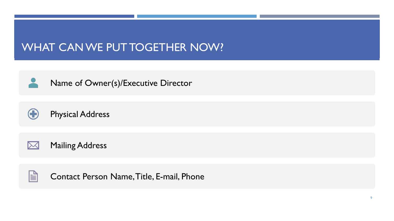#### WHAT CAN WE PUT TOGETHER NOW?



Name of Owner(s)/Executive Director



Physical Address

Mailing Address  $\boxtimes$ 



Contact Person Name, Title, E-mail, Phone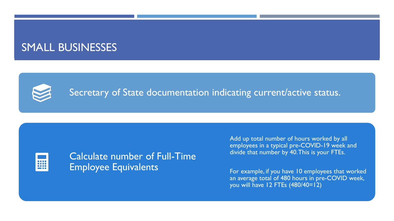#### SMALL BUSINESSES



#### Secretary of State documentation indicating current/active status.



Calculate number of Full-Time Employee Equivalents

Add up total number of hours worked by all employees in a typical pre-COVID-19 week and divide that number by 40. This is your FTEs.

For example, if you have 10 employees that worked an average total of 480 hours in pre-COVID week, you will have 12 FTEs (480/40=12)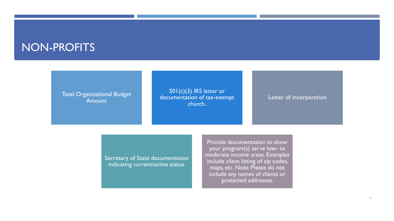#### NON-PROFITS

Total Organizational Budget Amount

501(c)(3) IRS letter or documentation of tax-exempt church.

#### Letter of incorporation

Secretary of State documentation indicating current/active status.

Provide documentation to show your program(s) serve low- to moderate income areas. Examples include client listing of zip codes, maps, etc. Note: Please do not include any names of clients or protected addresses.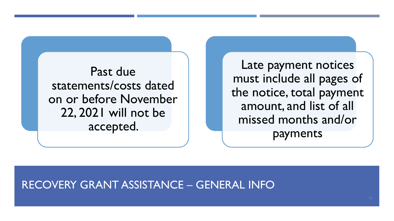Past due statements/costs dated on or before November 22, 2021 will not be accepted.

Late payment notices must include all pages of the notice, total payment amount, and list of all missed months and/or payments

#### RECOVERY GRANT ASSISTANCE – GENERAL INFO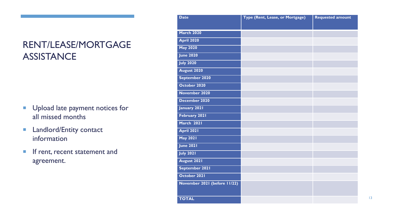#### RENT/LEASE/MORTGAGE **ASSISTANCE**

- **Upload late payment notices for** all missed months
- **Landlord/Entity contact** information
- **If rent, recent statement and** agreement.

| <b>Date</b>                  | Type (Rent, Lease, or Mortgage) | <b>Requested amount</b> |
|------------------------------|---------------------------------|-------------------------|
|                              |                                 |                         |
| <b>March 2020</b>            |                                 |                         |
| <b>April 2020</b>            |                                 |                         |
| <b>May 2020</b>              |                                 |                         |
| <b>June 2020</b>             |                                 |                         |
| <b>July 2020</b>             |                                 |                         |
| August 2020                  |                                 |                         |
| September 2020               |                                 |                         |
| October 2020                 |                                 |                         |
| November 2020                |                                 |                         |
| December 2020                |                                 |                         |
| January 2021                 |                                 |                         |
| February 2021                |                                 |                         |
| March 2021                   |                                 |                         |
| <b>April 2021</b>            |                                 |                         |
| <b>May 2021</b>              |                                 |                         |
| <b>June 2021</b>             |                                 |                         |
| <b>July 2021</b>             |                                 |                         |
| August 2021                  |                                 |                         |
| September 2021               |                                 |                         |
| October 2021                 |                                 |                         |
| November 2021 (before 11/22) |                                 |                         |
|                              |                                 |                         |
| <b>TOTAL</b>                 |                                 |                         |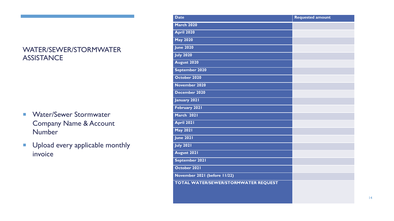#### WATER/SEWER/STORMWATER **ASSISTANCE**

- **Water/Sewer Stormwater** Company Name & Account Number
- **Upload every applicable monthly** invoice

| <b>Date</b>                          | <b>Requested amount</b> |
|--------------------------------------|-------------------------|
| <b>March 2020</b>                    |                         |
| <b>April 2020</b>                    |                         |
| <b>May 2020</b>                      |                         |
| <b>June 2020</b>                     |                         |
| <b>July 2020</b>                     |                         |
| August 2020                          |                         |
| September 2020                       |                         |
| October 2020                         |                         |
| November 2020                        |                         |
| December 2020                        |                         |
| January 2021                         |                         |
| February 2021                        |                         |
| <b>March 2021</b>                    |                         |
| <b>April 2021</b>                    |                         |
| <b>May 2021</b>                      |                         |
| <b>June 2021</b>                     |                         |
| <b>July 2021</b>                     |                         |
| August 2021                          |                         |
| September 2021                       |                         |
| October 2021                         |                         |
| November 2021 (before 11/22)         |                         |
| TOTAL WATER/SEWER/STORMWATER REQUEST |                         |
|                                      |                         |
|                                      |                         |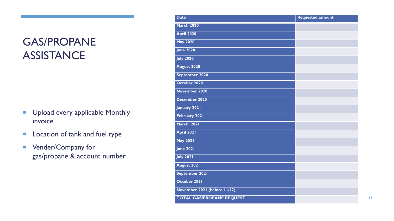### GAS/PROPANE **ASSISTANCE**

- **Upload every applicable Monthly** invoice
- **Location of tank and fuel type**
- **Vender/Company for** gas/propane & account number

| <b>Date</b>                      | <b>Requested amount</b> |
|----------------------------------|-------------------------|
| <b>March 2020</b>                |                         |
| <b>April 2020</b>                |                         |
| <b>May 2020</b>                  |                         |
| <b>June 2020</b>                 |                         |
| <b>July 2020</b>                 |                         |
| August 2020                      |                         |
| September 2020                   |                         |
| October 2020                     |                         |
| November 2020                    |                         |
| December 2020                    |                         |
| <b>January 2021</b>              |                         |
| February 2021                    |                         |
| March 2021                       |                         |
| <b>April 2021</b>                |                         |
| <b>May 2021</b>                  |                         |
| <b>June 2021</b>                 |                         |
| <b>July 2021</b>                 |                         |
| August 2021                      |                         |
| September 2021                   |                         |
| October 2021                     |                         |
| November 2021 (before 11/22)     |                         |
| <b>TOTAL GAS/PROPANE REQUEST</b> |                         |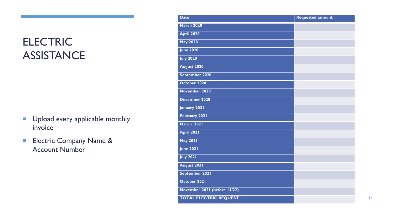### **ELECTRIC ASSISTANCE**

- **Upload every applicable monthly** invoice
- **Electric Company Name &** Account Number

| <b>Date</b>                   | <b>Requested amount</b> |
|-------------------------------|-------------------------|
| <b>March 2020</b>             |                         |
| <b>April 2020</b>             |                         |
| <b>May 2020</b>               |                         |
| <b>June 2020</b>              |                         |
| <b>July 2020</b>              |                         |
| August 2020                   |                         |
| September 2020                |                         |
| October 2020                  |                         |
| November 2020                 |                         |
| December 2020                 |                         |
| January 2021                  |                         |
| February 2021                 |                         |
| March 2021                    |                         |
| <b>April 2021</b>             |                         |
| <b>May 2021</b>               |                         |
| <b>June 2021</b>              |                         |
| <b>July 2021</b>              |                         |
| August 2021                   |                         |
| September 2021                |                         |
| October 2021                  |                         |
| November 2021 (before 11/22)  |                         |
| <b>TOTAL ELECTRIC REQUEST</b> |                         |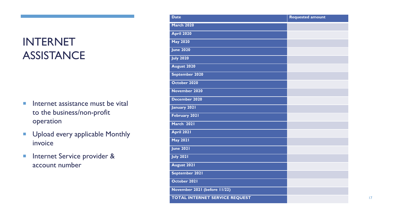### INTERNET **ASSISTANCE**

- $\blacksquare$  Internet assistance must be vital to the business/non-profit operation
- **Upload every applicable Monthly** invoice
- **Internet Service provider &** account number

| <b>Date</b>                           | <b>Requested amount</b> |
|---------------------------------------|-------------------------|
| <b>March 2020</b>                     |                         |
| <b>April 2020</b>                     |                         |
| <b>May 2020</b>                       |                         |
| <b>June 2020</b>                      |                         |
| <b>July 2020</b>                      |                         |
| August 2020                           |                         |
| September 2020                        |                         |
| October 2020                          |                         |
| November 2020                         |                         |
| December 2020                         |                         |
| January 2021                          |                         |
| February 2021                         |                         |
| March 2021                            |                         |
| <b>April 2021</b>                     |                         |
| <b>May 2021</b>                       |                         |
| <b>June 2021</b>                      |                         |
| <b>July 2021</b>                      |                         |
| August 2021                           |                         |
| September 2021                        |                         |
| October 2021                          |                         |
| November 2021 (before 11/22)          |                         |
| <b>TOTAL INTERNET SERVICE REQUEST</b> |                         |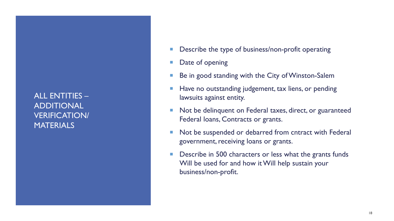ALL ENTITIES – ADDITIONAL VERIFICATION/ MATERIALS

- Describe the type of business/non-profit operating
- **Date of opening**
- Be in good standing with the City of Winston-Salem
- Have no outstanding judgement, tax liens, or pending lawsuits against entity.
- Not be delinquent on Federal taxes, direct, or guaranteed Federal loans, Contracts or grants.
- Not be suspended or debarred from cntract with Federal government, receiving loans or grants.
- **Describe in 500 characters or less what the grants funds** Will be used for and how it Will help sustain your business/non-profit.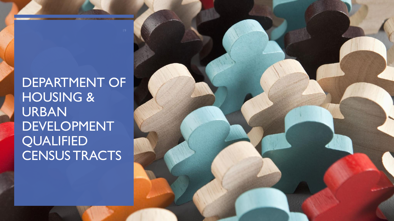### DEPARTMENT OF HOUSING & URBAN DEVELOPMENT **QUALIFIED** CENSUS TRACTS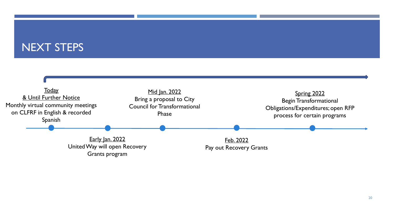#### NEXT STEPS

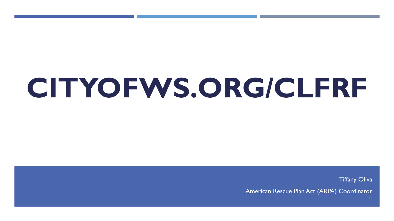# **CITYOFWS.ORG/CLFRF**

Tiffany Oliva

American Rescue Plan Act (ARPA) Coordinator